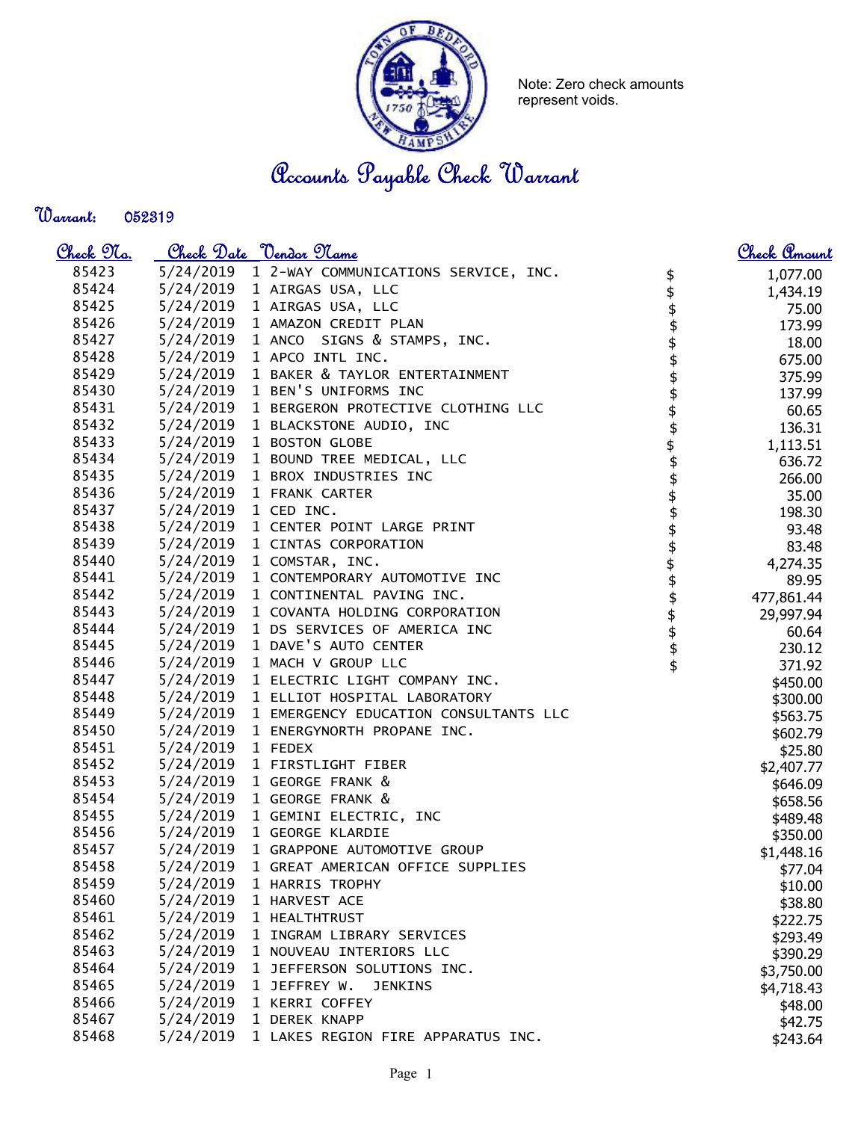

Note: Zero check amounts represent voids.

Accounts Payable Check Warrant

Warrant: 

| <u>Check No.</u> |                      | Check Date <u>Vendor Name</u>                   |                    | <u>Check Amount</u>      |
|------------------|----------------------|-------------------------------------------------|--------------------|--------------------------|
| 85423            |                      | 5/24/2019 1 2-WAY COMMUNICATIONS SERVICE, INC.  |                    | 1,077.00                 |
| 85424            |                      | 5/24/2019 1 AIRGAS USA, LLC                     | \$<br>\$           | 1,434.19                 |
| 85425            |                      | 5/24/2019 1 AIRGAS USA, LLC                     |                    | 75.00                    |
| 85426            |                      | 5/24/2019 1 AMAZON CREDIT PLAN                  |                    | 173.99                   |
| 85427            |                      | 5/24/2019 1 ANCO SIGNS & STAMPS, INC.           |                    | 18.00                    |
| 85428            |                      | 5/24/2019 1 APCO INTL INC.                      |                    | 675.00                   |
| 85429            |                      | 5/24/2019 1 BAKER & TAYLOR ENTERTAINMENT        |                    | 375.99                   |
| 85430            |                      | 5/24/2019 1 BEN'S UNIFORMS INC                  |                    | 137.99                   |
| 85431            |                      | 5/24/2019 1 BERGERON PROTECTIVE CLOTHING LLC    |                    | 60.65                    |
| 85432            |                      | 5/24/2019 1 BLACKSTONE AUDIO, INC               | \$\$\$\$\$\$\$\$   | 136.31                   |
| 85433            |                      | 5/24/2019 1 BOSTON GLOBE                        |                    | 1,113.51                 |
| 85434            |                      | 5/24/2019 1 BOUND TREE MEDICAL, LLC             | \$\$\$             | 636.72                   |
| 85435            |                      | 5/24/2019 1 BROX INDUSTRIES INC                 |                    | 266.00                   |
| 85436            |                      | 5/24/2019 1 FRANK CARTER                        |                    | 35.00                    |
| 85437            | 5/24/2019 1 CED INC. |                                                 |                    | 198.30                   |
| 85438            |                      | 5/24/2019 1 CENTER POINT LARGE PRINT            |                    | 93.48                    |
| 85439            |                      | 5/24/2019 1 CINTAS CORPORATION                  |                    | 83.48                    |
| 85440            |                      | 5/24/2019 1 COMSTAR, INC.                       |                    | 4,274.35                 |
| 85441            |                      | 5/24/2019 1 CONTEMPORARY AUTOMOTIVE INC         | \$\$\$\$\$\$\$\$\$ | 89.95                    |
| 85442            |                      | 5/24/2019 1 CONTINENTAL PAVING INC.             |                    | 477,861.44               |
| 85443            |                      | 5/24/2019 1 COVANTA HOLDING CORPORATION         |                    |                          |
| 85444            |                      | 5/24/2019 1 DS SERVICES OF AMERICA INC          |                    | 29,997.94                |
| 85445            |                      | 5/24/2019 1 DAVE'S AUTO CENTER                  |                    | 60.64                    |
| 85446            |                      | 5/24/2019 1 MACH V GROUP LLC                    |                    | 230.12<br>371.92         |
| 85447            |                      | 5/24/2019 1 ELECTRIC LIGHT COMPANY INC.         |                    |                          |
| 85448            |                      | 5/24/2019 1 ELLIOT HOSPITAL LABORATORY          |                    | \$450.00                 |
| 85449            |                      | 5/24/2019 1 EMERGENCY EDUCATION CONSULTANTS LLC |                    | \$300.00                 |
| 85450            |                      | 5/24/2019 1 ENERGYNORTH PROPANE INC.            |                    | \$563.75<br>\$602.79     |
| 85451            | 5/24/2019 1 FEDEX    |                                                 |                    | \$25.80                  |
| 85452            |                      | 5/24/2019 1 FIRSTLIGHT FIBER                    |                    | \$2,407.77               |
| 85453            |                      | 5/24/2019 1 GEORGE FRANK &                      |                    | \$646.09                 |
| 85454            |                      | 5/24/2019 1 GEORGE FRANK &                      |                    | \$658.56                 |
| 85455            |                      | 5/24/2019 1 GEMINI ELECTRIC, INC                |                    | \$489.48                 |
| 85456            |                      | 5/24/2019 1 GEORGE KLARDIE                      |                    | \$350.00                 |
| 85457            |                      | 5/24/2019 1 GRAPPONE AUTOMOTIVE GROUP           |                    | \$1,448.16               |
| 85458            | 5/24/2019            | 1 GREAT AMERICAN OFFICE SUPPLIES                |                    | \$77.04                  |
| 85459            | 5/24/2019            | 1 HARRIS TROPHY                                 |                    | \$10.00                  |
| 85460            | 5/24/2019            | 1 HARVEST ACE                                   |                    | \$38.80                  |
| 85461            | 5/24/2019            | 1 HEALTHTRUST                                   |                    |                          |
| 85462            | 5/24/2019            | 1 INGRAM LIBRARY SERVICES                       |                    | \$222.75                 |
| 85463            | 5/24/2019            | 1 NOUVEAU INTERIORS LLC                         |                    | \$293.49                 |
| 85464            | 5/24/2019            | 1 JEFFERSON SOLUTIONS INC.                      |                    | \$390.29                 |
| 85465            | 5/24/2019            | 1 JEFFREY W.<br><b>JENKINS</b>                  |                    | \$3,750.00<br>\$4,718.43 |
| 85466            | 5/24/2019            | 1 KERRI COFFEY                                  |                    |                          |
| 85467            | 5/24/2019            | 1 DEREK KNAPP                                   |                    | \$48.00                  |
| 85468            | 5/24/2019            | 1 LAKES REGION FIRE APPARATUS INC.              |                    | \$42.75                  |
|                  |                      |                                                 |                    | \$243.64                 |